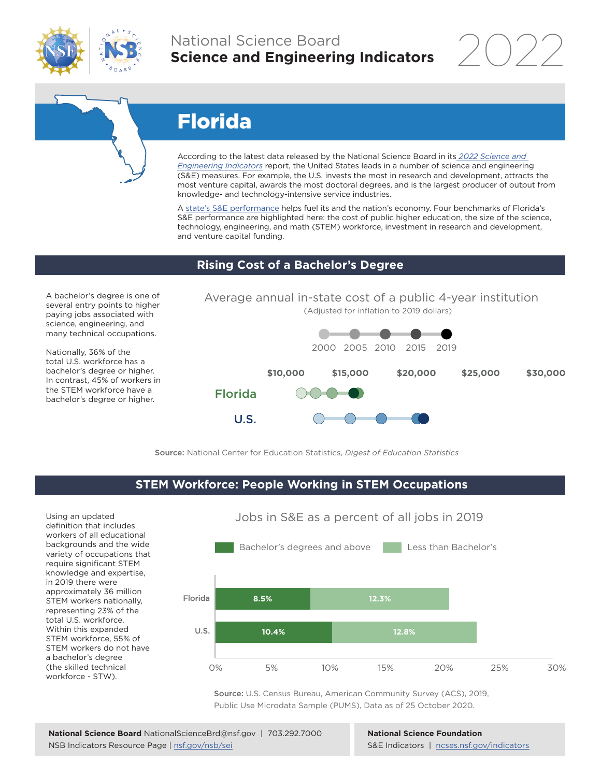

## National Science Board **Science and Engineering Indicators**

2022

# Florida

According to the latest data released by the National Science Board in its *[2022 Science and](https://www.ncses.nsf.gov/indicators)  [Engineering Indicators](https://www.ncses.nsf.gov/indicators)* report, the United States leads in a number of science and engineering (S&E) measures. For example, the U.S. invests the most in research and development, attracts the most venture capital, awards the most doctoral degrees, and is the largest producer of output from knowledge- and technology-intensive service industries.

A state's S&E performance helps fuel its and the nation's economy. Four benchmarks of Florida's S&E performance are highlighted here: the cost of public higher education, the size of the science, technology, engineering, and math (STEM) workforce, investment in research and development, and venture capital funding.

#### **Rising Cost of a Bachelor's Degree**

A bachelor's degree is one of several entry points to higher paying jobs associated with science, engineering, and many technical occupations.

Nationally, 36% of the total U.S. workforce has a bachelor's degree or higher. In contrast, 45% of workers in the STEM workforce have a bachelor's degree or higher.

Average annual in-state cost of a public 4-year institution (Adjusted for inflation to 2019 dollars)



Source: National Center for Education Statistics, *Digest of Education Statistics*

#### **STEM Workforce: People Working in STEM Occupations**

Using an updated definition that includes workers of all educational backgrounds and the wide variety of occupations that require significant STEM knowledge and expertise, in 2019 there were approximately 36 million STEM workers nationally, representing 23% of the total U.S. workforce. Within this expanded STEM workforce, 55% of STEM workers do not have a bachelor's degree (the skilled technical workforce - STW).



Jobs in S&E as a percent of all jobs in 2019

Source: U.S. Census Bureau, American Community Survey (ACS), 2019, Public Use Microdata Sample (PUMS), Data as of 25 October 2020.

**National Science Foundation** S&E Indicators | [ncses.nsf.gov/indicators](https://www.ncses.nsf.gov/indicators)